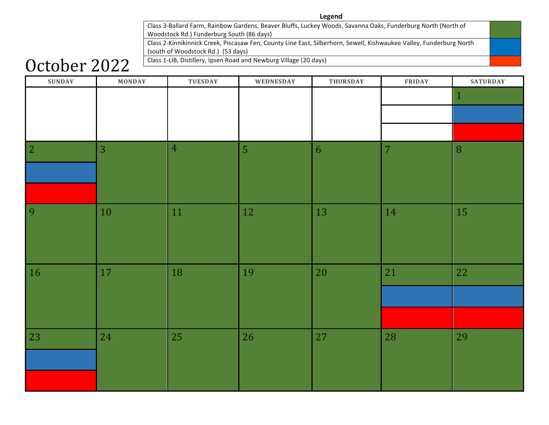#### **Legend**

Class 3-Ballard Farm, Rainbow Gardens, Beaver Bluffs, Luckey Woods, Savanna Oaks, Funderburg North (North of Woodstock Rd.) Funderburg South (86 days)

Class 2-Kinnikinnick Creek, Piscasaw Fen, County Line East, Silberhorn, Sewell, Kishwaukee Valley, Funderburg North (south of Woodstock Rd.) (53 days)

### Class 1-LIB, Distillery, Ipsen Road and Newburg Village (20 days)

## October 2022

| <b>SUNDAY</b> | MONDAY | TUESDAY          | WEDNESDAY      | THURSDAY | FRIDAY         | <b>SATURDAY</b> |
|---------------|--------|------------------|----------------|----------|----------------|-----------------|
|               |        |                  |                |          |                | $\mathbf 1$     |
|               |        |                  |                |          |                |                 |
|               |        |                  |                |          |                |                 |
|               |        |                  |                |          |                |                 |
| $\vert$ 2     | 3      | $\boldsymbol{4}$ | $\overline{5}$ | 6        | $\overline{7}$ | $\, 8$          |
|               |        |                  |                |          |                |                 |
|               |        |                  |                |          |                |                 |
|               |        |                  |                |          |                |                 |
| 9             | 10     | 11               | 12             | 13       | 14             | 15              |
|               |        |                  |                |          |                |                 |
|               |        |                  |                |          |                |                 |
|               |        |                  |                |          |                |                 |
| 16            | 17     | 18               | 19             | 20       | 21             | 22              |
|               |        |                  |                |          |                |                 |
|               |        |                  |                |          |                |                 |
|               |        |                  |                |          |                |                 |
| 23            | 24     | 25               | 26             | 27       | 28             | 29              |
|               |        |                  |                |          |                |                 |
|               |        |                  |                |          |                |                 |
|               |        |                  |                |          |                |                 |
|               |        |                  |                |          |                |                 |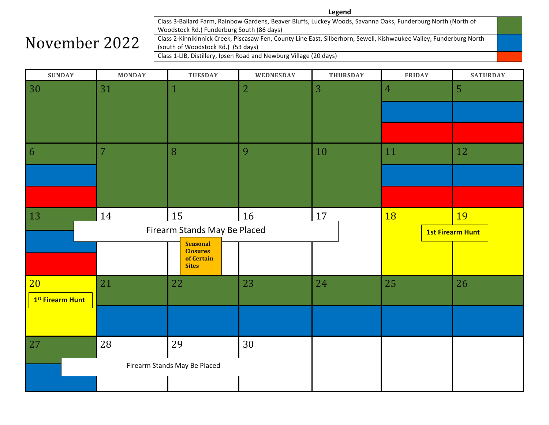Class 3-Ballard Farm, Rainbow Gardens, Beaver Bluffs, Luckey Woods, Savanna Oaks, Funderburg North (North of Woodstock Rd.) Funderburg South (86 days) Class 2-Kinnikinnick Creek, Piscasaw Fen, County Line East, Silberhorn, Sewell, Kishwaukee Valley, Funderburg North (south of Woodstock Rd.) (53 days) Class 1-LIB, Distillery, Ipsen Road and Newburg Village (20 days)

| <b>SUNDAY</b>                | <b>MONDAY</b>                | <b>TUESDAY</b>                                                   | WEDNESDAY      | <b>THURSDAY</b> | <b>FRIDAY</b>           | <b>SATURDAY</b> |
|------------------------------|------------------------------|------------------------------------------------------------------|----------------|-----------------|-------------------------|-----------------|
| 30                           | 31                           | $\mathbf{1}$                                                     | $\overline{2}$ | 3               | $\overline{4}$          | 5               |
|                              |                              |                                                                  |                |                 |                         |                 |
|                              |                              |                                                                  |                |                 |                         |                 |
|                              |                              |                                                                  |                |                 |                         |                 |
| 6                            | $\overline{7}$               | 8                                                                | 9              | 10              | 11                      | 12              |
|                              |                              |                                                                  |                |                 |                         |                 |
|                              |                              |                                                                  |                |                 |                         |                 |
| 13                           | 14                           | 15                                                               | 16             | 17              | <b>18</b>               | 19              |
|                              | Firearm Stands May Be Placed |                                                                  |                |                 | <b>1st Firearm Hunt</b> |                 |
|                              |                              | <b>Seasonal</b><br><b>Closures</b><br>of Certain<br><b>Sites</b> |                |                 |                         |                 |
| 20                           | 21                           | 22                                                               | 23             | 24              | 25                      | 26              |
| 1 <sup>st</sup> Firearm Hunt |                              |                                                                  |                |                 |                         |                 |
|                              |                              |                                                                  |                |                 |                         |                 |
| 27                           | 28                           | 29                                                               | 30             |                 |                         |                 |
| Firearm Stands May Be Placed |                              |                                                                  |                |                 |                         |                 |
|                              |                              |                                                                  |                |                 |                         |                 |

November 2022

#### **Legend**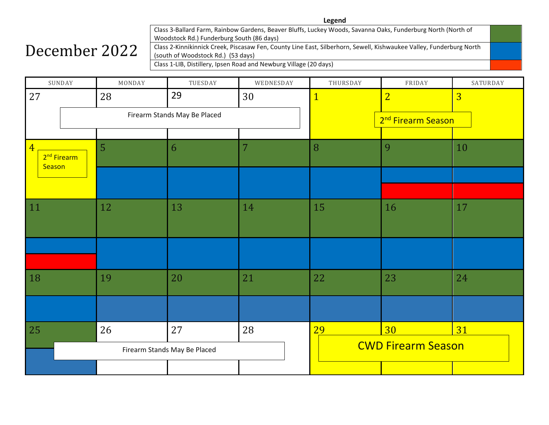### December 2022

Class 3-Ballard Farm, Rainbow Gardens, Beaver Bluffs, Luckey Woods, Savanna Oaks, Funderburg North (North of Woodstock Rd.) Funderburg South (86 days) Class 2-Kinnikinnick Creek, Piscasaw Fen, County Line East, Silberhorn, Sewell, Kishwaukee Valley, Funderburg North (south of Woodstock Rd.) (53 days) Class 1-LIB, Distillery, Ipsen Road and Newburg Village (20 days)

|                          | SUNDAY                       | MONDAY         | TUESDAY | WEDNESDAY                      | THURSDAY     | FRIDAY         | SATURDAY       |
|--------------------------|------------------------------|----------------|---------|--------------------------------|--------------|----------------|----------------|
| 27                       |                              | 28             | 29      | 30                             | $\mathbf{1}$ | $\overline{2}$ | $\overline{3}$ |
|                          | Firearm Stands May Be Placed |                |         | 2 <sup>nd</sup> Firearm Season |              |                |                |
|                          |                              |                |         |                                |              |                |                |
| $\overline{4}$<br>Season | 2 <sup>nd</sup> Firearm      | $\overline{5}$ | 6       | 7                              | 8            | 9              | 10             |
|                          |                              |                |         |                                |              |                |                |
|                          |                              |                |         |                                |              |                |                |
| $\vert$ 11               |                              | 12             | 13      | 14                             | 15           | 16             | 17             |
|                          |                              |                |         |                                |              |                |                |
| 18                       |                              | 19             | 20      | 21                             | 22           | 23             | 24             |
|                          |                              |                |         |                                |              |                |                |
| 25                       |                              | 26             | 27      | 28                             | 29           | 30             | 31             |
|                          | Firearm Stands May Be Placed |                |         | <b>CWD Firearm Season</b>      |              |                |                |
|                          |                              |                |         |                                |              |                |                |

**Legend**